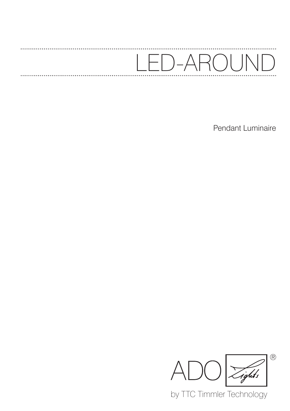## D-AROUN  $\overline{\phantom{0}}$  $\big)$

Pendant Luminaire



by TTC Timmler Technology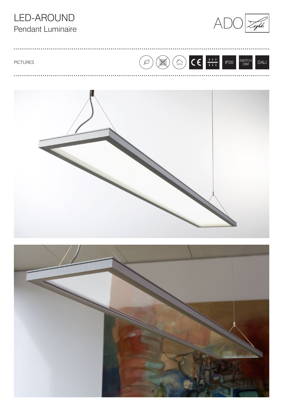### LED-AROUND Pendant Luminaire



BO CE THE  $\overline{\varphi}$  $IP20$ SWITCH<br>DIM **PICTURES** DALI



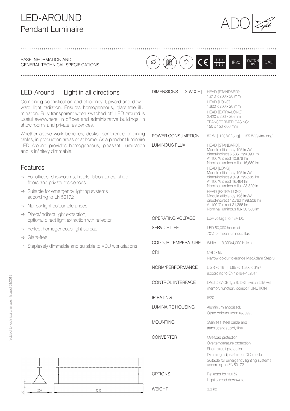# ADO LED-AROUND Pendant Luminaire



BASE INFORMATION AND GENERAL TECHNICAL SPECIFICATIONS



1,210 x 200 x 20 mm HEAD [LONG]: 1,820 x 200 x 20 mm

DIMENSIONS [L X W X H] HEAD [STANDARD]:

### LED-Around | Light in all directions

Combining sophistication and efficiency. Upward and downward light radiation. Ensures homogeneous, glare-free illumination. Fully transparent when switched off. LED Around is useful everywhere, in offices and administrative buildings, in show rooms and private residences.

Whether above work benches, desks, conference or dining tables, in production areas or at home: As a pendant luminaire LED Around provides homogeneous, pleasant illumination and is infinitely dimmable.

#### Features

- $\rightarrow$  For offices, showrooms, hotels, laboratories, shop floors and private residences
- $\rightarrow$  Suitable for emergency lighting systems according to EN50172
- $\rightarrow$  Narrow light colour tolerances
- $\rightarrow$  Direct/indirect light extraction; optional direct light extraction wth reflector
- $\rightarrow$  Perfect homogeneous light spread
- $\rightarrow$  Glare-free
- $\rightarrow$  Steplessly dimmable and suitable to VDU workstations

|                           | HEAD [EXTRA-LONG]:<br>2,420 x 200 x 20 mm<br>TRANSFORMER CASING:<br>150 x 150 x 60 mm                                                                                                                                                                                                                                                                                                                                                                            |
|---------------------------|------------------------------------------------------------------------------------------------------------------------------------------------------------------------------------------------------------------------------------------------------------------------------------------------------------------------------------------------------------------------------------------------------------------------------------------------------------------|
| POWER CONSUMPTION         | 80 W   120 W [long]   155 W [extra-long]                                                                                                                                                                                                                                                                                                                                                                                                                         |
| <b>LUMINOUS FLUX</b>      | HEAD [STANDARD]:<br>Module efficiency 196 Im/W<br>direct/indirect 6,586 lm/4,390 lm<br>At 100 % direct 10,976 lm<br>Nominal luminous flux 15,680 lm<br>HEAD [LONG]:<br>Module efficiency 196 Im/W<br>direct/indirect 9,879 lm/6,585 lm<br>At 100 % direct 16,464 lm<br>Nominal luminous flux 23,520 lm<br>HEAD [EXTRA-LONG]:<br>Module efficiency 196 lm/W<br>direct/indirect 12,760 lm/8,506 lm<br>At 100 % direct 21,266 lm<br>Nominal luminous flux 30,380 lm |
| OPERATING VOLTAGE         | Low voltage to 48V DC                                                                                                                                                                                                                                                                                                                                                                                                                                            |
| <b>SERVICE LIFE</b>       | LED 50,000 hours at<br>70% of mean luninous flux                                                                                                                                                                                                                                                                                                                                                                                                                 |
| <b>COLOUR TEMPERATURE</b> | White   3,000/4,000 Kelvin                                                                                                                                                                                                                                                                                                                                                                                                                                       |
| CRI                       | CRI > 85<br>Narrow colour tolerance MacAdam Step 3                                                                                                                                                                                                                                                                                                                                                                                                               |
| NORM/PERFORMANCE          | UGR < 19   L65 < 1.500 cd/m <sup>2</sup><br>according to EN12464-1:2011                                                                                                                                                                                                                                                                                                                                                                                          |
| <b>CONTROL INTERFACE</b>  | DALI DEVICE Typ 6, DSI, switch DIM with<br>memory function, corridorFUNCTION                                                                                                                                                                                                                                                                                                                                                                                     |
| <b>IP RATING</b>          | <b>IP20</b>                                                                                                                                                                                                                                                                                                                                                                                                                                                      |
| <b>LUMINAIRE HOUSING</b>  | Aluminium anodised;<br>Other colours upon request                                                                                                                                                                                                                                                                                                                                                                                                                |
| <b>MOUNTING</b>           | Stainless steel cable and<br>translucent supply line                                                                                                                                                                                                                                                                                                                                                                                                             |
| <b>CONVERTER</b>          | Overload protection<br>Overtemperature protection<br>Short-circuit protection<br>Dimming adjustable for DC-mode<br>Suitable for emergency lighting systems<br>according to EN 50172                                                                                                                                                                                                                                                                              |
| <b>OPTIONS</b>            | Reflector for 100 %<br>Light spread downward                                                                                                                                                                                                                                                                                                                                                                                                                     |

1210